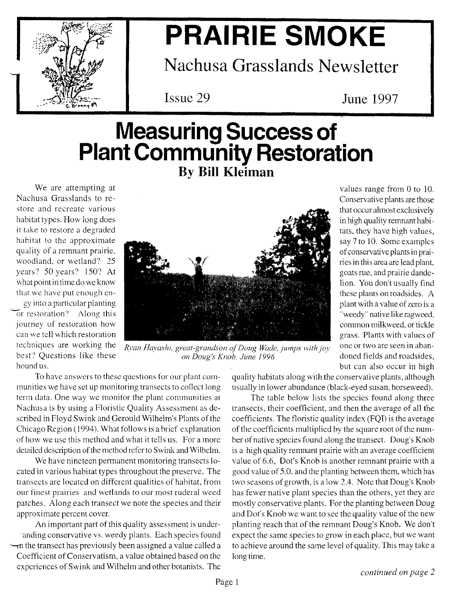

# **PRAIRIE SMOKE**

## **Nachusa Grasslands Newsletter**

**Issue 29**

**June 1997**

values range from 0 to 10. Conservative plants are those that occur almost exclusively in high quality remnant habitats, they have high values, say 7 to 10. Some examples of conservati ve plants in prairies in this area are lead plant, goats rue, and prairie dandelion. You don't usually find these plants on roadsides. A plant with a value of zero is a "weedy" native like ragweed, common milkweed, or tickle grass. Plants with values of one or two are seen in abandoned fields and roadsides, but can also occur in high

## **Measuring Success of Plant Community Restoration**

**By Bill Kleiman**

We are attempting at Nachusa Grasslands to restore and recreate various habitat types. How long does it take to restore a degraded habitat to the approximate quality of a remnant prairie. woodland. or wetland? 25 years? 50 years? ISO? At what point in time do we know that we have put enough en-

gy into a particular planting or restoration? Along this journey of restoration how can we tell which restoration techniques are working the best? Questions like these hound us.



*Ryan Hayashi, great-grandson of Doug Wade,jumps with joy on Doug's Knob, June 1996*

To have answers to these questions for our plant communities we have set up monitoring transects to collect long term data. One way we monitor the plant communities at Nachusa is by using a Floristic Quality Assessment as described in Floyd Swink and Gerould Wilhelm's Plants of the Chicago Region (1994). What follows is a brief explanation of how we use this method and what it tells us. For a more detailed description of the method refer to Swink and Wilhelm.

We have nineteen permanent monitoring transects located in various habitat types throughout the preserve. The transects are located on different qualities of habitat, from our finest prairies and wetlands to our most ruderal weed patches. Along each transect we note the species and their approximate percent cover.

An important part of this quality assessment is underanding conservative vs. weedy plants. Each species found '-rn the transect has previously been assigned a value called a Coefficient of Conservatism, a value obtained based on the experiences of Swink and Wilhelm and other botanists. The quality habitats along with the conservative plants, although usually in lower abundance (black-eyed susan, horseweed).

The table below lists the species found along three transects, their coefficient, and then the average of all the coefficients. The floristic quality index (FQI) is the average of the coefficients multiplied by the square root of the number of native species found along the transect. Doug's Knob is a high quality remnant prairie with an average coefficient value of 6.6, Dot's Knob is another remnant prairie with a good value of 5.0, and the planting between them, which has two seasons of growth. is a low 2.4. Note that Doug's Knob has fewer native plant species than the others, yet they are mostly conservative plants. For the planting between Doug and Dot's Knob we want to see the quality value of the new planting reach that of the remnant Doug's Knob. We don't expect the same species to grow in each place, but we want to achieve around the same level of quality. This may take a long time.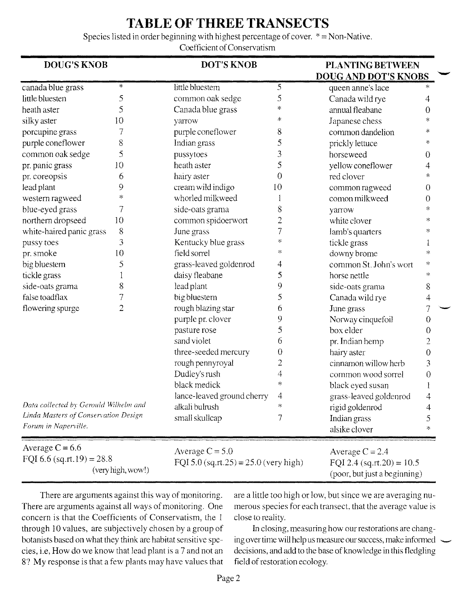## **TABLE OF THREE TRANSECTS**

Species listed in order beginning with highest percentage of cover.  $* = \text{Non-Native}$ .

Coefficient of Conservatism

| <b>DOUG'S KNOB</b>                    |                | <b>DOT'S KNOB</b>                       |                | <b>PLANTING BETWEEN</b>      |                           |  |
|---------------------------------------|----------------|-----------------------------------------|----------------|------------------------------|---------------------------|--|
|                                       |                |                                         |                | <b>DOUG AND DOT'S KNOBS</b>  |                           |  |
| canada blue grass                     | $\ast$         | little bluestem                         | 5              | queen anne's lace            | *                         |  |
| little bluesten                       | 5              | common oak sedge                        | 5              | Canada wild rye              | 4                         |  |
| heath aster                           | 5              | Canada blue grass                       | $^{\star}$     | annual fleabane              | 0                         |  |
| silky aster                           | 10             | yarrow                                  | ∗              | Japanese chess               | $\!\times\!$              |  |
| porcupine grass                       |                | purple coneflower                       | 8              | common dandelion             | *                         |  |
| purple coneflower                     | 8              | Indian grass                            | 5              | prickly lettuce              | $\asymp$                  |  |
| common oak sedge                      | 5              | pussytoes                               | 3              | horseweed                    | 0                         |  |
| pr. panic grass                       | 10             | heath aster                             | 5              | yellow coneflower            | 4                         |  |
| pr. coreopsis                         | 6              | hairy aster                             | $\theta$       | red clover                   | ×                         |  |
| lead plant                            | 9              | cream wild indigo                       | 10             | common ragweed               | 0                         |  |
| western ragweed                       | ∗              | whorled milkweed                        |                | comon milkweed               | 0                         |  |
| blue-eyed grass                       | 7              | side-oats grama                         | 8              | yarrow                       | ∗                         |  |
| northern dropseed                     | 10             | common spidoerwort                      | $\overline{2}$ | white clover                 | $\ast$                    |  |
| white-haired panic grass              | 8              | June grass                              | 7              | lamb's quarters              | *                         |  |
| pussy toes                            | 3              | Kentucky blue grass                     | ∗              | tickle grass                 |                           |  |
| pr. smoke                             | 10             | field sorrel                            | ×              | downy brome                  | ⋇                         |  |
| big bluestem                          | 5              | grass-leaved goldenrod                  | 4              | common St. John's wort       | *                         |  |
| tickle grass                          |                | daisy fleabane                          | 5              | horse nettle                 | 永                         |  |
| side-oats grama                       | 8              | lead plant                              | 9              | side-oats grama              | 8                         |  |
| false toadflax                        |                | big bluestem                            | 5              | Canada wild rye              | 4                         |  |
| flowering spurge                      | $\overline{2}$ | rough blazing star                      | 6              | June grass                   | $\overline{\overline{1}}$ |  |
|                                       |                | purple pr. clover                       | 9              | Norway cinquefoil            | 0                         |  |
|                                       |                | pasture rose                            | 5              | box elder                    | 0                         |  |
|                                       |                | sand violet                             | 6              | pr. Indian hemp              | $\overline{2}$            |  |
|                                       |                | three-seeded mercury                    | $\theta$       | hairy aster                  | $\overline{0}$            |  |
|                                       |                | rough pennyroyal                        | $\overline{2}$ | cinnamon willow herb         | 3                         |  |
|                                       |                | Dudley's rush                           | 4              | common wood sorrel           | $\theta$                  |  |
|                                       |                | black medick                            | *              | black eyed susan             |                           |  |
|                                       |                | lance-leaved ground cherry              | 4              | grass-leaved goldenrod       | 4                         |  |
| Data collected by Gerould Wilhelm and |                | alkali bulrush                          | ∗              | rigid goldenrod              | 4                         |  |
| Linda Masters of Conservation Design  |                | small skullcap                          | 7              | Indian grass                 | 5                         |  |
| Forum in Naperville.                  |                |                                         |                | alsike clover                | *                         |  |
| Average $C = 6.6$                     |                | Average $C = 5.0$                       |                | Average $C = 2.4$            |                           |  |
| FQI 6.6 (sq.rt.19) = $28.8$           |                | FQI 5.0 (sq.rt.25) = $25.0$ (very high) |                | FQI 2.4 (sq.rt.20) = $10.5$  |                           |  |
| (very high, wow!)                     |                |                                         |                | (poor, but just a beginning) |                           |  |
|                                       |                |                                         |                |                              |                           |  |

There are arguments against this way of monitoring. There are arguments against all ways of monitoring. One concern is that the Coefficients of Conservatism, the 1 through 10 values, are subjectively chosen by a group of botanists based on what they think are habitat sensitive species, i.e, How do we know that lead plant is a 7 and not an 8? My response is that a few plants may have values that

are a little too high or low, but since we are averaging numerous species for each transect, that the average value is close to reality.

In closing, measuring how our restorations are changing over time will help us measure our success, make informed \_ decisions, and add to the base of knowledge in this fledgling field of restoration ecology.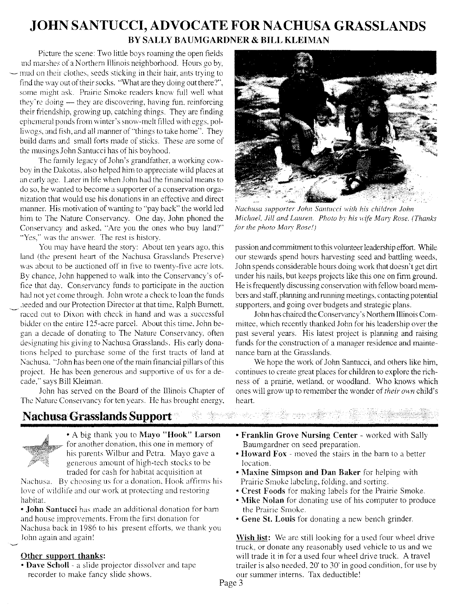### **JOHN SANTUCCI, ADVOCATE FOR NACHUSA GRASSLANDS BY SALLY BAUMGARDNER & BILL KLEIMAN**

Picture the scene: Two little boys roaming the open fields md marshes of a Northern Illinois neighborhood. Hours go by, - mud on their clothes, seeds sticking in their hair, ants trying to find the way out of their socks. "What are they doing out there?", some might ask. Prairie Smoke readers know full well what they're doing — they are discovering, having fun, reinforcing their friendship, growing up, catching things. They are finding ephemeral ponds from winter's snow-melt filled with eggs, polliwogs, and fish, and all manner of "things to take home". They build dams and small forts made of sticks. These are some of the musings John Santucci has of his boyhood.

The family legacy of John's grandfather, a working cowboy in the Dakotas. also helped him to appreciate wild places at an early age. Later in life when John had the financial means to do so, he wanted to become a supporter of a conservation organization that would use his donations in an effective and direct manner. His motivation of wanting to "pay back" the world led him to The Nature Conservancy. One day, John phoned the Conservancy and asked, "Are you the ones who buy land?" "Yes," was the answer. The rest is history.

You may have heard the story: About ten years ago, this land (the present heart of the Nachusa Grasslands Preserve) was about to be auctioned off in five to twenty-five acre lots. By chance, John happened to walk into the Conservancy's office that day. Conservancy funds to participate in the auction had not yet come through. John wrote a check to loan the funds .ieeded and our Protection Director at that time, Ralph Burnett, raced out to Dixon with check in hand and was a successful bidder on the entire 125-acre parcel. About this time, John began a decade of donating to The Nature Conservancy, often designating his giving to Nachusa Grasslands. His early donations helped to purchase some of the first tracts of land at Nachusa. "John has been one of the main financial pillars of this project. He has been generous and supportive of us for a decade," says Bill Kleiman.

John has served on the Board of the Illinois Chapter of The Nature Conservancy for ten years. He has brought energy,



*Nachusa supporter John Santucci with his children John Michael, Jill and Lauren. Photo* by *his wife Mary Rose. (Thanks for the photo Mary Rose.')*

passion and commitment to this volunteer leadership effort. While our stewards spend hours harvesting seed and battling weeds, John spends considerable hours doing work that doesn't get dirt under his nails, but keeps projects like this one on firm ground. He is frequently discussing conservation with fellow board members and staff, planning and running meetings, contacting potential supporters, and going over budgets and strategic plans.

John has chaired the Conservancy's Northern Illinois Committee, which recently thanked John for his leadership over the past several years. His latest project is planning and raising funds for the construction of a manager residence and maintenance barn at the Grasslands.

We hope the work of John Santucci, and others like him, continues to create great places for children to explore the richness of a prairie, wetland, or woodland. Who knows which ones will grow up to remember the wonder of *their oyvn* child's heart.

### **NacbusaGrasslands SUpport**



• A big thank you to **Mayo "Hook" Larson** for another donation, this one in memory of his parents Wilbur and Petra. Mayo gave a generous amount of high-tech stocks to be traded for cash for habitat acquisition at

Nachusa. By choosing us for a donation, Hook affirms his love of wildlife and our work at protecting and restoring habitat.

**• John Santucci** has made an additional donation for barn and house improvements. From the first donation for Nachusa back in 1986 to his present efforts, we thank you John again and again!

#### **Other support thanks:**

**• Dave Scholl -** a slide projector dissolver and tape recorder to make fancy slide shows.

**• Franklin Grove Nursing Center -** worked with Sally Baumgardner on seed preparation.

rije me vrije

- **• Howard Fox -** moved the stairs in the barn to a better location.
- **• Maxine Simpson and Dan Baker** for helping with Prairie Smoke labeling, folding, and sorting,
- **• Crest Foods** for making labels for the Prairie Smoke.
- **• Mike Nolan** for donating use of his computer to produce the Prairie Smoke.
- **• Gene St. Louis** for donating a new bench grinder.

**Wish list:** We are still looking for a used four wheel drive truck, or donate any reasonably used vehicle to us and we will trade it in for a used four wheel drive truck. A travel trailer is also needed, 20' to 30' in good condition, for use by our summer interns. Tax deductible!

the company of the second states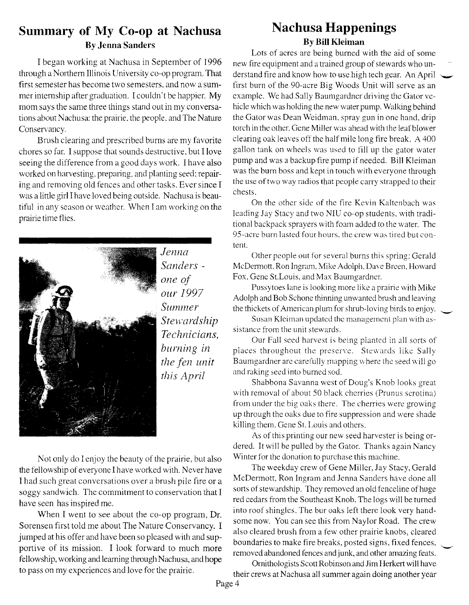#### **Summary of My Co-op at Nachusa By** Jenna **Sanders**

I began working at Nachusa in September of 1996 through a Northern Illinois University co-op program. That first semester has become two semesters, and now a summer internship after graduation. I couldn't be happier. My mom says the same three things stand out in my conversations about Nachusa: the prairie, the people, and The Nature Conservancy.

Brush clearing and prescribed burns are my favorite chores so far. I suppose that sounds destructive, but I love seeing the difference from a good days work. I have also worked on harvesting, preparing, and planting seed; repairing and removing old fences and other tasks. Ever since I was a little girl I have loved being outside. Nachusa is beautiful in any season or weather. When I am working on the prairie time Hies.



*Jenna Sanders one of our 1997 Summer Stewardship Technicians, burning in the fen unit this April*

Not only do I enjoy the beauty of the prairie, but also the fellowship of everyone I have worked with. Never have I had such great conversations over a brush pile fire or a soggy sandwich. The commitment to conservation that I have seen has inspired me.

When I went to see about the co-op program, Dr. Sorensen first told me about The Nature Conservancy. I jumped at his offer and have been so pleased with and supportive of its mission. I look forward to much more fellowship, working and learning through Nachusa, and hope to pass on my experiences and love for the prairie.

#### **Nachusa Happenings By Bill Kleiman**

Lots of acres are being burned with the aid of some new fire equipment and a trained group of stewards who understand fire and know how to use high tech gear. An April first burn of the 90-acre Big Woods Unit will serve as an example. We had Sally Baumgardner driving the Gator vehicle which was holding the new water pump. Walking behind the Gator was Dean Weidman, spray gun in one hand, drip torch in the other. Gene Miller was ahead with the leaf blower clearing oak leaves off the half mile long fire break. A 400 gallon tank on wheels was used to fill up the gator water pump and was a backup fire pump if needed. Bill Kleiman was the burn boss and kept in touch with everyone through the use of two way radios that people carry strapped to their chests.

On the other side of the fire Kevin Kaltenbach was leading Jay Stacy and two NIU co-op students, with traditional backpack sprayers with foam added to the water. The 95-acre burn lasted four hours, the crew was tired but content.

Other people out for several burns this spring: Gerald McDennott. Ron Ingram, Mike Adolph, Dave Breen, Howard Fox, Gene St.Louis, and Max Baumgardner.

Pussy toes lane is looking more like a prairie with Mike Adolph and Bob Schone thinning unwanted brush and leaving the thickets of American plum for shrub-loving birds to enjoy.

Susan Kleiman updated the management plan with assistance from the unit stewards.

Our Fall seed harvest is being planted in all sorts of places throughout the preserve. Stewards like Sally Baumgardner are carefully mapping where the seed will go and raking seed into burned sod.

Shabbona Savanna west of Doug's Knob looks great with removal of about 50 black cherries (Prunus serotina) from under the big oaks there. The cherries were growing up through the oaks due to fire suppression and were shade killing them. Gene St. Louis and others.

As of this printing our new seed harvester is being ordered. It will be pulled by the Gator. Thanks again Nancy Winter for the donation to purchase this machine.

The weekday crew of Gene Miller, Jay Stacy, Gerald McDermott, Ron Ingram and Jenna Sanders have done all sorts of stewardship. They removed an old fenceline of huge red cedars from the Southeast Knob. The logs will be turned into roof shingles. The bur oaks left there look very handsome now. You can see this from Naylor Road. The crew also cleared brush from a few other prairie knobs, cleared boundaries to make fire breaks, posted signs, fixed fences, removed abandoned fences and junk, and other amazing feats.

Ornithologists Scott Robinson and Jim Herkert will have their crews at Nachusa all summer again doing another year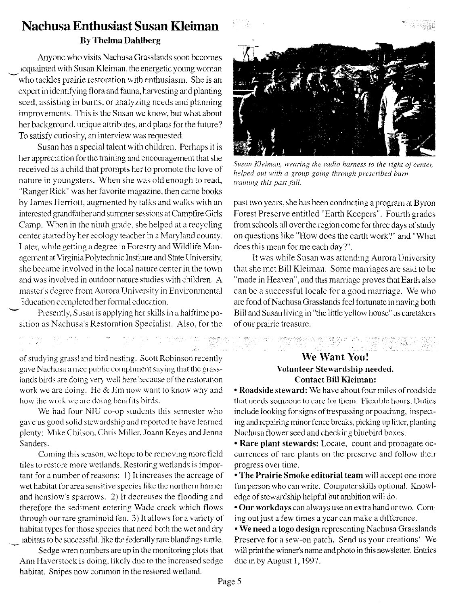#### **Nachusa Enthusiast Susan Kleiman By Thelma Dahlberg**

Anyone who visits Nachusa Grasslands soon becomes .cquainted with Susan Kleiman, the energetic young woman who tackles prairie restoration with enthusiasm. She is an expert in identifying flora and fauna, harvesting and planting seed, assisting in burns, or analyzing needs and planning improvements. This is the Susan we know, but what about her background, unique attributes, and plans for the future? To satisfy curiosity, an interview was requested.

Susan has a special talent with children. Perhaps it is her appreciation for the training and encouragement that she received as a child that prompts her to promote the love of nature in youngsters. When she was old enough to read, "Ranger Rick" was her favorite magazine, then came books by James Herriott, augmented by talks and walks with an interested grandfather and summer sessions at Campfire Girls Camp. When in the ninth grade, she helped at a recycling center started by her ecology teacher in a Maryland county. Later, while getting a degree in Forestry and Wildlife Management at Virginia Polytechnic Institute and State University, she became involved in the local nature center in the town and was involved in outdoor nature studies with children. A master's degree from Aurora University in Environmental Education completed her formal education.

Presently, Susan is applying her skills in a halftime position as Nachusa's Restoration Specialist. Also, for the



*Susan Kleiman, wearing the radio harness to the right of center, helped out with a group going through prescribed bum training this past fall.*

past two years, she has been conducting a program at Byron Forest Preserve entitled "Earth Keepers". Fourth grades from schools all over the region come for three days of study on questions like "How does the earth work?" and "What does this mean for me each day?".

It was while Susan was attending Aurora University that she met Bill Kleiman. Some marriages are said to be "made in Heaven", and this marriage proves that Earth also can be a successful locale for a good marriage. We who are fond of Nachusa Grasslands feel fortunate in having both Bill and Susan living in "the little yellow house" as caretakers of our prairie treasure.

of studying grassland bird nesting. Scott Robinson recently gave Nachusa a nice public compliment saying that the grasslands birds are doing very well here because of the restoration work we are doing. He & Jim now want to know why and how the work we are doing benifits birds.

We had four NIU co-op students this semester who gave us good solid stewardship and reported to have learned plenty: Mike Chilson, Chris Miller, Joann Keyes and Jenna Sanders.

Coming this season, we hope to be removing more field tiles to restore more wetlands. Restoring wetlands is important for a number of reasons: I) It increases the acreage of wet habitat for area sensitive species like the northern harrier and henslow's sparrows. 2) It decreases the flooding and therefore the sediment entering Wade creek which flows through our rare graminoid fen. 3) It allows for a variety of habitat types for those species that need both the wet and dry \_\_\_iabitats to be successful, like the federally rare blandings turtle.

Sedge wren numbers are up in the monitoring plots that Ann Haverstock is doing, likely due to the increased sedge habitat. Snipes now common in the restored wetland.

#### **We Want You! Volunteer Stewardship needed. Contact Bill Kleiman:**

**• Roadside steward:** We have about four miles of roadside that needs someone to care for them. Flexible hours. Duties include looking for signs of trespassing or poaching, inspecting and repairing minor fence breaks, picking up litter, planting Nachusa flower seed and checking bluebird boxes.

**• Rare plant stewards:** Locate, count and propagate occurrences of rare plants on the preserve and follow their progress over time.

**• The Prairie Smoke editorial team** will accept one more fun person who can write. Computer skills optional. Knowledge of stewardship helpful but ambition will do.

**• Our workdays** can always use an extra hand or two. Coming out just a few times a year can make a difference.

**• We need a logo design** representing Nachusa Grasslands Preserve for a sew-on patch. Send us your creations! We will print the winner's name and photo in this newsletter. Entries due in by August I, 1997.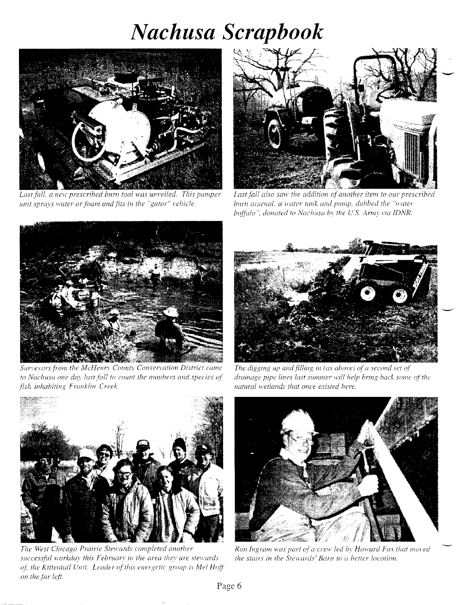## *Nachusa Scrapbook*



*Last fall, a new prescribed burn tool was unveiled. This pumper unit sprays water orfoam andfits in the "gator" vehicle.*



*Last fall also sa\\' the addition of another item to our prescribed hum arsenal, a water tonk and fill/np, dubbed the "water buffalo ", donated to Nachusa* by *the U.S, Army via IDNR,*



*Surveyorsfrom the Mcll enrv County Conservation District came to Nachusa one day lasrjall to count the numbers and species of fish inhabiting Franklin Creek.*



*The digging lip andfilling in (as above) ofa second set of drainage pipe lines last slimmer will help bring back some of the natural wetlands that once existed here,*



*The West Chicago Prairie Stewards completed another successful workday this February in the area they are stewards o]. the Kittentail Unit. Leader of this energetic group is Me! Hoff Oil the far left.*



*Ron Ingram was part of a erell' led by Howard Fox that moved the stairs in the Stewards' Barn to (I better location.*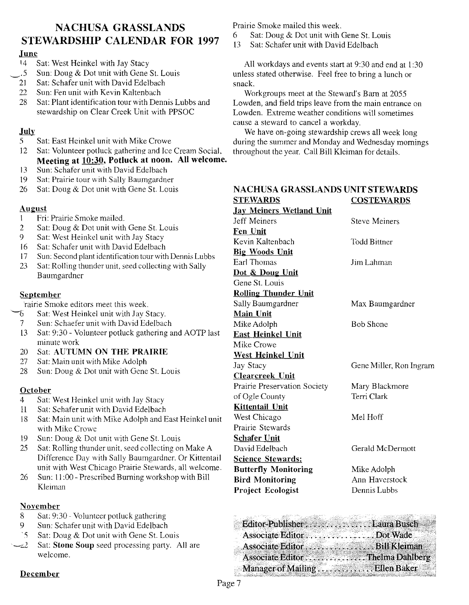#### NACHUSA GRASSLANDS STEWARDSHIP CALENDAR FOR 1997

#### June

- 14 Sat: West Heinkel with Jay Stacy
- $,5$  Sun: Doug & Dot unit with Gene St. Louis
- 21 Sat: Schafer unit with David Edelbach
- 22 Sun: Fen unit with Kevin Kaltenbach
- 28 Sat: Plant identification tour with Dennis Lubbs and stewardship on Clear Creek Unit with PPSOC

#### **July**

- 5 Sat: East Heinkel unit with Mike Crowe
- 12 Sat: Volunteer potluck gathering and Ice Cream Social, Meeting at 10:30, Potluck at noon. All welcome.
- 13 Sun: Schafer unit with David Edelbach
- 19 Sat: Prairie tour with Sally Baumgardner
- 26 Sat: Doug & Dot unit with Gene St. Louis

#### August

- 1 Fri: Prairie Smoke mailed.
- 2 Sat: Doug & Dot unit with Gene St. Louis
- 9 Sat: West Heinkel unit with Jay Stacy
- 16 Sat: Schafer unit with David Edelbach
- 17 Sun: Second plant identification tour with Dennis Lubbs
- 23 Sat: Rolling thunder unit, seed collecting with Sally Baumgardner

#### September

'rairie Smoke editors meet this week.

- $6$  Sat: West Heinkel unit with Jay Stacy.
- 7 Sun: Schaefer unit with David Edelbach
- 13 Sat: 9:30 Volunteer potluck gathering and AOTP last minute work
- 20 Sat: AUTUMN ON THE PRAIRIE
- 27 Sat: Main unit with Mike Adolph
- 28 Sun: Doug & Dot unit with Gene St. Louis

#### **October**

- 4 Sat: West Heinkel unit with Jay Stacy
- 11 Sat: Schafer unit with David Edelbach
- 18 Sat: Main unit with Mike Adolph and East Heinkel unit with Mike Crowe
- 19 Sun: Doug & Dot unit with Gene St. Louis
- 25 Sat: Rolling thunder unit, seed collecting on Make A Difference Day with Sally Baumgardner. Or Kittentail unit with West Chicago Prairie Stewards, all welcome.
- 26 Sun: 11:00 Prescribed Burning workshop with Bill Kleiman

#### November

- 8 Sat: 9:30 Volunteer potluck gathering
- 9 Sun: Schafer unit with David Edelbach
- 5 Sat: Doug & Dot unit with Gene St. Louis
- $\leq$  2 Sat: Stone Soup seed processing party. All are welcome.

#### December

Prairie Smoke mailed this week.

- 6 Sat: Doug & Dot unit with Gene St. Louis
- 13 Sat: Schafer unit with David Edelbach

All workdays and events start at 9:30 and end at 1:30 unless stated otherwise. Feel free to bring a lunch or snack.

Workgroups meet at the Steward's Barn at 2055 Lowden, and field trips leave from the main entrance on Lowden. Extreme weather conditions will sometimes cause a steward to cancel a workday.

We have on-going stewardship crews all week long during the summer and Monday and Wednesday mornings throughout the year. Call Bill Kleiman for details.

| <b>STEWARDS</b>                     | NACHUSA GRASSLANDS UNIT STEWARDS<br><b>COSTEWARDS</b> |  |  |
|-------------------------------------|-------------------------------------------------------|--|--|
| <b>Jay Meiners Wetland Unit</b>     |                                                       |  |  |
| <b>Jeff Meiners</b>                 | <b>Steve Meiners</b>                                  |  |  |
| Fen Unit                            |                                                       |  |  |
| Kevin Kaltenbach                    | <b>Todd Bittner</b>                                   |  |  |
| <b>Big Woods Unit</b>               |                                                       |  |  |
| Earl Thomas                         | Jim Lahman                                            |  |  |
| Dot & Doug Unit                     |                                                       |  |  |
| Gene St. Louis                      |                                                       |  |  |
| <b>Rolling Thunder Unit</b>         |                                                       |  |  |
| <b>Sally Baumgardner</b>            | Max Baumgardner                                       |  |  |
| <b>Main Unit</b>                    |                                                       |  |  |
| Mike Adolph                         | <b>Bob Shone</b>                                      |  |  |
| <b>East Heinkel Unit</b>            |                                                       |  |  |
| Mike Crowe                          |                                                       |  |  |
| <b>West Heinkel Unit</b>            |                                                       |  |  |
| Jay Stacy                           | Gene Miller, Ron Ingram                               |  |  |
| <b>Clearcreek Unit</b>              |                                                       |  |  |
| <b>Prairie Preservation Society</b> | Mary Blackmore                                        |  |  |
| of Ogle County                      | Terri Clark                                           |  |  |
| <b>Kittentail Unit</b>              |                                                       |  |  |
| West Chicago                        | Mel Hoff                                              |  |  |
| Prairie Stewards                    |                                                       |  |  |
| <b>Schafer Unit</b>                 |                                                       |  |  |
| David Edelbach                      | <b>Gerald McDermott</b>                               |  |  |
| <b>Science Stewards:</b>            |                                                       |  |  |
| <b>Butterfly Monitoring</b>         | Mike Adolph                                           |  |  |
| <b>Bird Monitoring</b>              | Ann Haverstock                                        |  |  |
| Project Ecologist                   | Dennis Lubbs                                          |  |  |

Editor-Publisher. . . . . . . . . . . . . . . Laura Busch Associate Editor .....................Dot Wade Associate Editor (2000) ....................... Bill Kleiman Associate Editor ................Thelma Dahlberg Manager of Mailing............... Ellen Baker